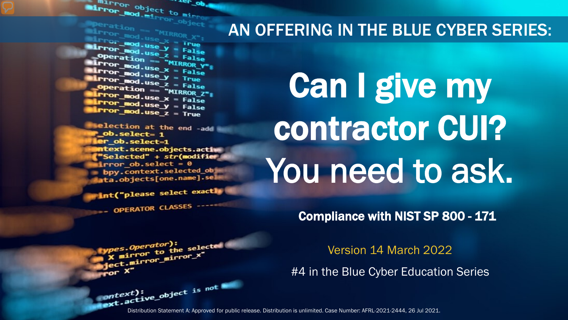The object to minner object to minner Mirror object to mirror . <sub>rer</sub> op

**Marchard - "MIRROR X";<br>Mirror\_mod.use X = True<br>Mirror\_mod.use y = True**  $\begin{array}{rcl} \text{Lip}_\text{C} & \text{Lip}_\text{C} & \text{Lip}_\text{C} \ \text{Lip}_\text{C} & \text{Cip}_\text{C} & \text{Lip}_\text{C} \ \text{Lip}_\text{C} & \text{Cip}_\text{C} & \text{Lip}_\text{C} \ \text{Lip}_\text{C} & \text{Lip}_\text{C} & \text{Lip}_\text{C} & \text{Lip}_\text{C} \ \text{Lip}_\text{C} & \text{Lip}_\text{C} & \text{Lip}_\text{C} & \text{Lip}_\text{C} \ \text{Lip}_\text$ Departion == False<br>Peration == "MIRROR\_Y"<br>Irror\_mod.use x **Exaction** == "MIRROR\_Y"<br>**Exaction** == "MIRROR\_Y"<br>**Exaction** == The state  $\frac{mod \cdot use_x}{irror\_mod \cdot use_y} = False$  $\frac{1}{2}$  True<br> $\frac{1}{2}$  True<br> $\frac{1}{2}$  Depending  $\frac{1}{2}$  = False **Operation == "MIRROR\_Z":**<br><u>Letter mod.use : "MIRROR\_Z</u>";  $\begin{array}{rcl} \n\textbf{I} \cdot \textbf{I} \cdot \textbf{I} \cdot \textbf{I} \cdot \textbf{I} \cdot \textbf{I} \cdot \textbf{I} \cdot \textbf{I} \cdot \textbf{I} \cdot \textbf{I} \cdot \textbf{I} \cdot \textbf{I} \cdot \textbf{I} \cdot \textbf{I} \cdot \textbf{I} \cdot \textbf{I} \cdot \textbf{I} \cdot \textbf{I} \cdot \textbf{I} \cdot \textbf{I} \cdot \textbf{I} \cdot \textbf{I} \cdot \textbf{I} \cdot \textbf{I} \cdot \textbf{I} \cdot \textbf{I} \cdot \text$  $I$ Pror\_mod.use\_x = False<br> $I$ Pror\_mod.use\_y = False  $Irror_modeluse_y = False$ <br> $Irror_modeluse_z = True$ 

election at the end -add ob.select= 1 er\_ob.select=1 **itext.scene.objects.activ** "Selected" + str(modifier  $Error_ ob. select =  $0$$ bpy.context.selected\_ob ata.objects[one.name].sel

int("please select exactly

OPERATOR CLASSES

pes.Operator):<br>n to the e*s.Operator*):<br>mirror\_to\_the\_selected<br>imirror\_x" Superior to the server<br>Sect.mirror\_mirror\_x"

### AN OFFERING IN THE BLUE CYBER SERIES:

# Can I give my contractor CUI? You need to ask.

Compliance with NIST SP 800 - 171

Version 14 March 2022

#4 in the Blue Cyber Education Series

Distribution Statement A: Approved for public release. Distribution is unlimited. Case Number: AFRL-2021-2444, 26 Jul 2021.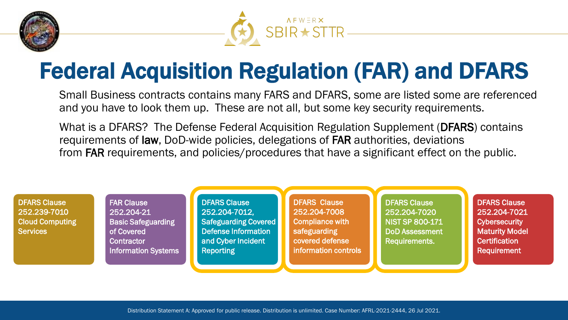



### Federal Acquisition Regulation (FAR) and DFARS

Small Business contracts contains many FARS and DFARS, some are listed some are referenced and you have to look them up. These are not all, but some key security requirements.

What is a DFARS? The Defense Federal Acquisition Regulation Supplement (DFARS) contains requirements of law, DoD-wide policies, delegations of FAR authorities, deviations from FAR requirements, and policies/procedures that have a significant effect on the public.

DFARS Clause 252.204-7021 **Cybersecurity** Maturity Model **Certification** Requirement DFARS Clause 252.204-7020 NIST SP 800-171 DoD Assessment Requirements. DFARS Clause 252.204-7008 Compliance with safeguarding covered defense information controls DFARS Clause 252.204-7012, Safeguarding Covered Defense Information and Cyber Incident Reporting FAR Clause 252.204-21 **Basic Safeguarding** of Covered **Contractor** Information Systems DFARS Clause 252.239-7010 Cloud Computing **Services**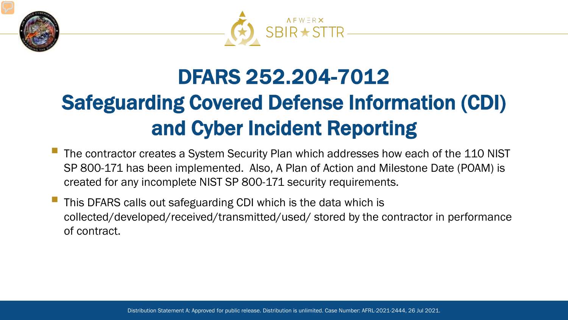



## DFARS 252.204-7012 Safeguarding Covered Defense Information (CDI) and Cyber Incident Reporting

- The contractor creates a System Security Plan which addresses how each of the 110 NIST SP 800-171 has been implemented. Also, A Plan of Action and Milestone Date (POAM) is created for any incomplete NIST SP 800-171 security requirements.
- This DFARS calls out safeguarding CDI which is the data which is collected/developed/received/transmitted/used/ stored by the contractor in performance of contract.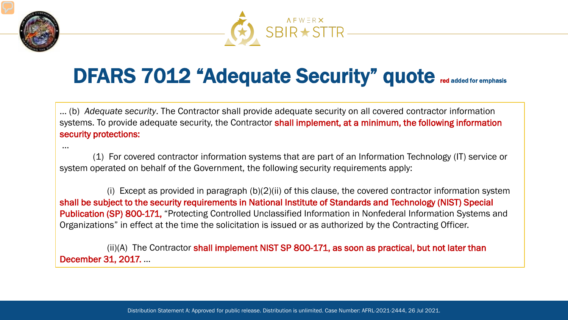



### DFARS 7012 "Adequate Security" quote red added for emphasis

… (b) *Adequate security*. The Contractor shall provide adequate security on all covered contractor information systems. To provide adequate security, the Contractor shall implement, at a minimum, the following information security protections:

…

(1) For covered contractor information systems that are part of an Information Technology (IT) service or system operated on behalf of the Government, the following security requirements apply:

(i) Except as provided in paragraph (b)(2)(ii) of this clause, the covered contractor information system shall be subject to the security requirements in National Institute of Standards and Technology (NIST) Special Publication (SP) 800-171, "Protecting Controlled Unclassified Information in Nonfederal Information Systems and Organizations" in effect at the time the solicitation is issued or as authorized by the Contracting Officer.

(ii)(A) The Contractor shall implement NIST SP 800-171, as soon as practical, but not later than December 31, 2017. …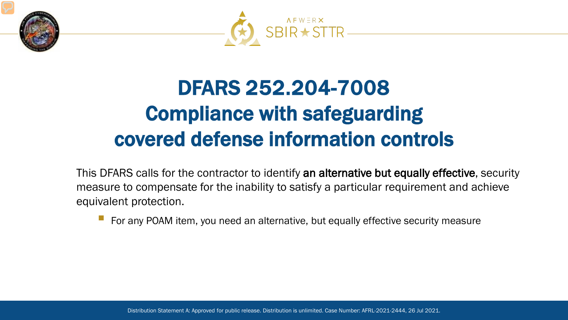



### DFARS 252.204-7008 Compliance with safeguarding covered defense information controls

This DFARS calls for the contractor to identify an alternative but equally effective, security measure to compensate for the inability to satisfy a particular requirement and achieve equivalent protection.

For any POAM item, you need an alternative, but equally effective security measure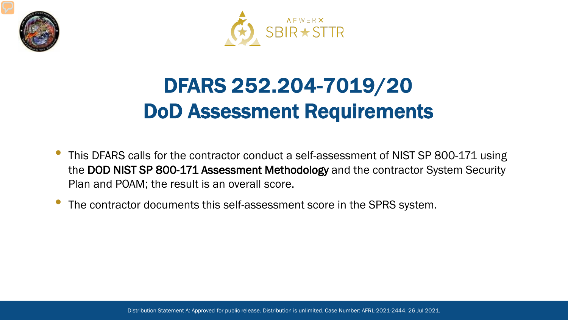



### DFARS 252.204-7019/20 DoD Assessment Requirements

- This DFARS calls for the contractor conduct a self-assessment of NIST SP 800-171 using the DOD NIST SP 800-171 Assessment Methodology and the contractor System Security Plan and POAM; the result is an overall score.
- The contractor documents this self-assessment score in the SPRS system.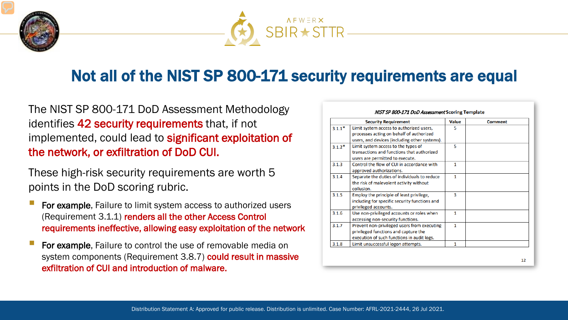



### Not all of the NIST SP 800-171 security requirements are equal

#### The NIST SP 800-171 DoD Assessment Methodology identifies 42 security requirements that, if not implemented, could lead to **significant exploitation of** the network, or exfiltration of DoD CUI.

These high-risk security requirements are worth 5 points in the DoD scoring rubric.

- For example, Failure to limit system access to authorized users (Requirement 3.1.1) renders all the other Access Control requirements ineffective, allowing easy exploitation of the network
- For example, Failure to control the use of removable media on system components (Requirement 3.8.7) could result in massive exfiltration of CUI and introduction of malware.

|          | <b>Security Requirement</b>                                                                                                           | <b>Value</b> | <b>Comment</b> |
|----------|---------------------------------------------------------------------------------------------------------------------------------------|--------------|----------------|
| $3.1.1*$ | Limit system access to authorized users,<br>processes acting on behalf of authorized<br>users, and devices (including other systems). | 5            |                |
| $3.1.2*$ | Limit system access to the types of<br>transactions and functions that authorized<br>users are permitted to execute.                  | 5            |                |
| 3.1.3    | Control the flow of CUI in accordance with<br>approved authorizations.                                                                | 1            |                |
| 3.1.4    | Separate the duties of individuals to reduce<br>the risk of malevolent activity without<br>collusion.                                 | 1            |                |
| 3.1.5    | Employ the principle of least privilege,<br>including for specific security functions and<br>privileged accounts.                     | 3            |                |
| 3.1.6    | Use non-privileged accounts or roles when<br>accessing non-security functions.                                                        | 1            |                |
| 3.1.7    | Prevent non-privileged users from executing<br>privileged functions and capture the<br>execution of such functions in audit logs.     | 1            |                |
| 3.1.8    | Limit unsuccessful logon attempts.                                                                                                    | 1            |                |

12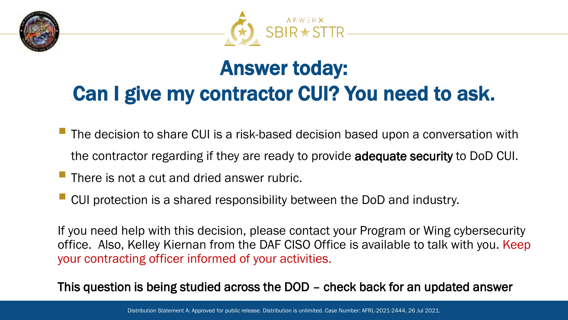



### Answer today: Can I give my contractor CUI? You need to ask.

- The decision to share CUI is a risk-based decision based upon a conversation with the contractor regarding if they are ready to provide adequate security to DoD CUI.
- There is not a cut and dried answer rubric.
- CUI protection is a shared responsibility between the DoD and industry.

If you need help with this decision, please contact your Program or Wing cybersecurity office. Also, Kelley Kiernan from the DAF CISO Office is available to talk with you. Keep your contracting officer informed of your activities.

This question is being studied across the DOD – check back for an updated answer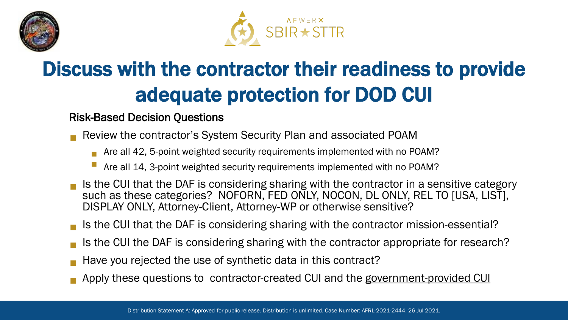



### Discuss with the contractor their readiness to provide adequate protection for DOD CUI

#### Risk-Based Decision Questions

- Review the contractor's System Security Plan and associated POAM
	- Are all 42, 5-point weighted security requirements implemented with no POAM?
	- Are all 14, 3-point weighted security requirements implemented with no POAM?
- Is the CUI that the DAF is considering sharing with the contractor in a sensitive category such as these categories? NOFORN, FED ONLY, NOCON, DL ONLY, REL TO [USA, LIST], DISPLAY ONLY, Attorney-Client, Attorney-WP or otherwise sensitive?
- Is the CUI that the DAF is considering sharing with the contractor mission-essential?
- Is the CUI the DAF is considering sharing with the contractor appropriate for research?
- Have you rejected the use of synthetic data in this contract?
- Apply these questions to contractor-created CUI and the government-provided CUI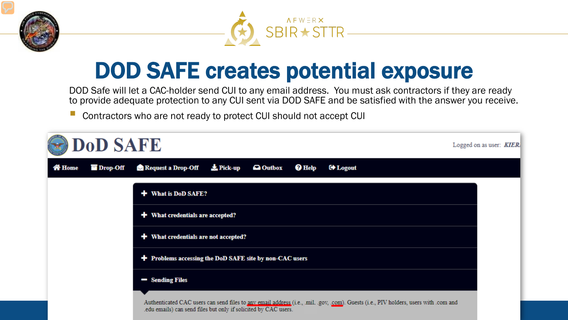



### DOD SAFE creates potential exposure

DOD Safe will let a CAC-holder send CUI to any email address. You must ask contractors if they are ready to provide adequate protection to any CUI sent via DOD SAFE and be satisfied with the answer you receive.

**Contractors who are not ready to protect CUI should not accept CUI** 

| <b>DoD SAFE</b><br>Logged on as user: <b>KIER.</b> |          |                                                                                                                                                                                                        |  |  |
|----------------------------------------------------|----------|--------------------------------------------------------------------------------------------------------------------------------------------------------------------------------------------------------|--|--|
| <b>The Home</b>                                    | Drop-Off | $\frac{1}{2}$ Pick-up<br>Request a Drop-Off<br><sup><i><b>O</b></i> Help</sup><br><b>a</b> Outbox<br><b>C</b> * Logout                                                                                 |  |  |
|                                                    |          | + What is DoD SAFE?                                                                                                                                                                                    |  |  |
|                                                    |          | $+$ What credentials are accepted?                                                                                                                                                                     |  |  |
|                                                    |          | + What credentials are not accepted?                                                                                                                                                                   |  |  |
|                                                    |          | + Problems accessing the DoD SAFE site by non-CAC users                                                                                                                                                |  |  |
|                                                    |          | - Sending Files                                                                                                                                                                                        |  |  |
|                                                    |          | Authenticated CAC users can send files to any email address (i.e., mil. .gov, .com). Guests (i.e., PIV holders, users with .com and<br>.edu emails) can send files but only if solicited by CAC users. |  |  |